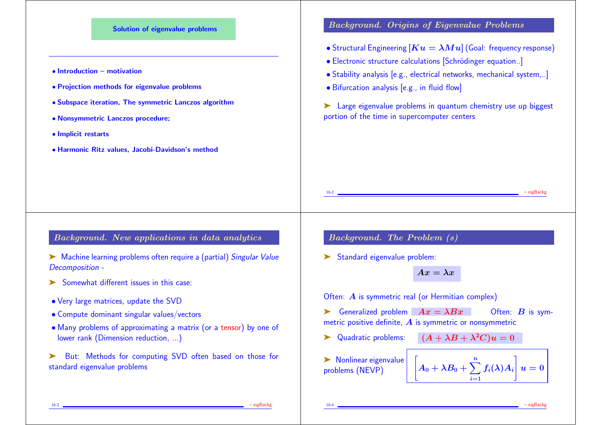

• Many problems of approximating a matrix (or a tensor) by one of lower rank (Dimension reduction, ...)

But: Methods for computing SVD often based on those for standard eigenvalue problems

16-3 – eigBackg

 $\blacktriangleright$  Nonlinear eigenvalue  $\begin{bmatrix} A \end{bmatrix}$ 

 $\blacktriangleright$  Quadratic problems:  $(A + \lambda B + \lambda^2 C)u = 0$ 

 $A_0 + \lambda B_0 + \sum^n f_i($ 

 $i=1$ 

 $\left|f_i(\lambda)A_i\right|$ 

 $\mathbf{1}$ 

16-4 – eigBackg

 $\bm{u}=\bm{0} \mid$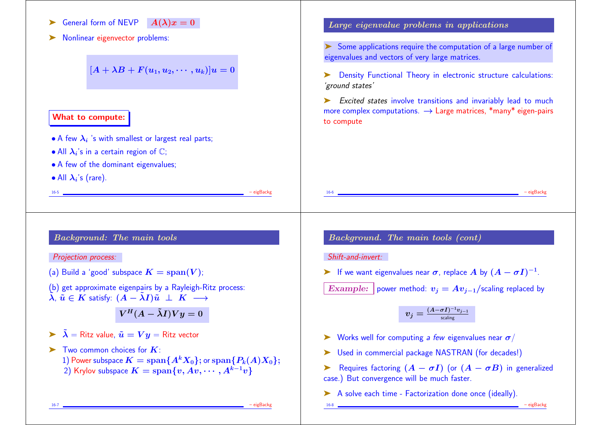- ightharpoonup General form of NEVP  $A(\lambda)x = 0$
- ➤ Nonlinear eigenvector problems:

 $[A + \lambda B + F(u_1, u_2, \dots, u_k)]u = 0$ 

16-5 – eigBackg

### What to compute:

- $\bullet$  A few  $\boldsymbol{\lambda}_i$  's with smallest or largest real parts;
- All  $\lambda_i$ 's in a certain region of  $\mathbb{C};$
- A few of the dominant eigenvalues;
- All  $\lambda_i$ 's (rare).

# Background: The main tools

#### Projection process:

- (a) Build a 'good' subspace  $K = \text{span}(V)$ ;
- (b) get approximate eigenpairs by a Rayleigh-Ritz process:  $\tilde{\lambda}$ ,  $\tilde{u} \in K$  satisfy:  $(A - \tilde{\lambda}I)\tilde{u} \perp K \longrightarrow$

 $V^H(A - \tilde{\lambda}I)V y = 0$ 

- $\triangleright$   $\tilde{\lambda}$  = Ritz value,  $\tilde{u} = V y$  = Ritz vector
- $\blacktriangleright$  Two common choices for  $K$ : 1) Power subspace  $K = \text{span}\{A^k X_0\}$ ; or  $\text{span}\{P_k(A)X_0\}$ ; 2) Krylov subspace  $K = \text{span}\{v, Av, \cdots, A^{k-1}v\}$

### Large eigenvalue problems in applications

➤ Some applications require the computation of a large number of eigenvalues and vectors of very large matrices.

➤ Density Functional Theory in electronic structure calculations: 'ground states'

► Excited states involve transitions and invariably lead to much more complex computations.  $\rightarrow$  Large matrices, \*many\* eigen-pairs to compute

16-6 – eigBackg

### Background. The main tools (cont)

#### Shift-and-invert:

► If we want eigenvalues near  $\sigma$ , replace A by  $(A - \sigma I)^{-1}$ .

Example: power method:  $v_i = Av_{i-1}/$  scaling replaced by

$$
v_j = \tfrac{(A - \sigma I)^{-1} v_{j-1}}{\mathsf{scaling}}
$$

- $\triangleright$  Works well for computing a few eigenvalues near  $\sigma$ /
- ► Used in commercial package NASTRAN (for decades!)
- Example 1 Requires factoring  $(A \sigma I)$  (or  $(A \sigma B)$ ) in generalized case.) But convergence will be much faster.
- ➤ A solve each time Factorization done once (ideally).
- 

16-8 – eigBackg

16-7 – eigBackg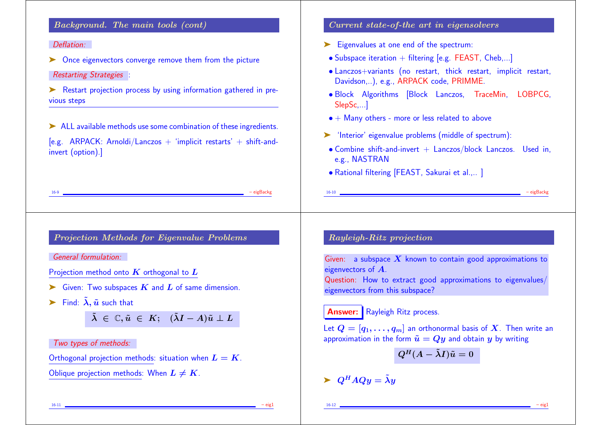## Background. The main tools (cont)

#### Deflation:

- ➤ Once eigenvectors converge remove them from the picture Restarting Strategies
- ► Restart projection process by using information gathered in previous steps

➤ ALL available methods use some combination of these ingredients.  $[e.g.$  ARPACK: Arnoldi/Lanczos  $+$  'implicit restarts'  $+$  shift-andinvert (option).]

16-9 – eigBackg

## Current state-of-the art in eigensolvers

- ➤ Eigenvalues at one end of the spectrum:
- Subspace iteration  $+$  filtering [e.g. FEAST, Cheb....]
- Lanczos+variants (no restart, thick restart, implicit restart, Davidson,..), e.g., ARPACK code, PRIMME.
- Block Algorithms [Block Lanczos, TraceMin, LOBPCG, SlepSc,...]
- $\bullet$  + Many others more or less related to above
- ➤ 'Interior' eigenvalue problems (middle of spectrum):
- $\bullet$  Combine shift-and-invert  $+$  Lanczos/block Lanczos. Used in, e.g., NASTRAN

16-10 – eigBackg – eigBackg

• Rational filtering [FEAST, Sakurai et al.,.. ]

### Projection Methods for Eigenvalue Problems

General formulation:

Projection method onto  $K$  orthogonal to  $L$ 

- $\triangleright$  Given: Two subspaces  $K$  and  $L$  of same dimension.
- Find:  $\tilde{\lambda}$ ,  $\tilde{u}$  such that

 $\tilde{\lambda} \in \mathbb{C}, \tilde{u} \in K; \; (\tilde{\lambda}I - A)\tilde{u} \perp L$ 

#### Two types of methods:

Orthogonal projection methods: situation when  $L = K$ .

Oblique projection methods: When  $L \neq K$ .

# Rayleigh-Ritz projection

Given: a subspace  $X$  known to contain good approximations to eigenvectors of A. Question: How to extract good approximations to eigenvalues/ eigenvectors from this subspace?

# **Answer:** Rayleigh Ritz process.

Let  $Q = [q_1, \ldots, q_m]$  an orthonormal basis of X. Then write an approximation in the form  $\tilde{u} = Qy$  and obtain y by writing

$$
Q^H(A-\tilde \lambda I)\tilde u=0
$$

$$
\blacktriangleright \ Q^H A Q y = \tilde{\lambda} y
$$

16-11 – eig1

16-12 – eig1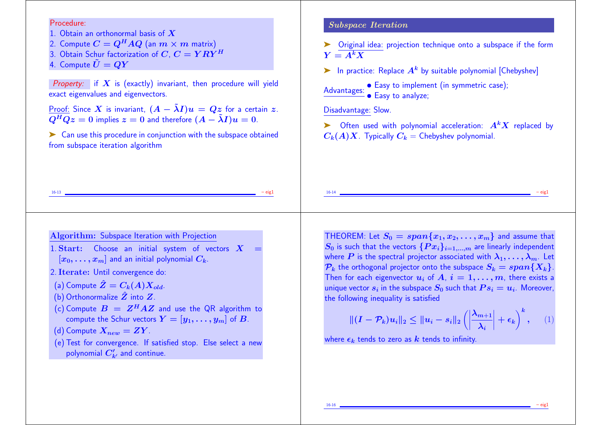#### Procedure:

- 1. Obtain an orthonormal basis of  $X$
- 2. Compute  $C = Q^H A Q$  (an  $m \times m$  matrix)
- 3. Obtain Schur factorization of  $C, C = Y R Y^H$
- 4. Compute  $\tilde{U} = QY$

Property: if  $X$  is (exactly) invariant, then procedure will yield exact eigenvalues and eigenvectors.

<u>Proof:</u> Since X is invariant,  $(A - \tilde{\lambda}I)u = Qz$  for a certain z.<br>  $Q^HQz = 0$  implies  $z = 0$  and therefore  $(A - \tilde{\lambda}I)u = 0$ .

► Can use this procedure in conjunction with the subspace obtained from subspace iteration algorithm

### Subspace Iteration

➤ Original idea: projection technique onto a subspace if the form  $Y = A^k X$ 

in practice: Replace  $A^k$  by suitable polynomial [Chebyshev]

 $\bullet$  Easy to implement (in symmetric case);<br>Advantages:  $\bullet$  Easy to analyze: • Easy to analyze;

Disadvantage: Slow.

 $\triangleright$  Often used with polynomial acceleration:  $A<sup>k</sup>X$  replaced by  $C_k(A)X$ . Typically  $C_k$  = Chebyshev polynomial.

16-14 – eig1

16-13 – eig1

#### Algorithm: Subspace Iteration with Projection

1. Start: Choose an initial system of vectors  $X =$  $[x_0, \ldots, x_m]$  and an initial polynomial  $C_k$ .

#### 2. Iterate: Until convergence do:

- (a) Compute  $\hat{Z}=C_{k}(A)X_{old}$ .
- (b) Orthonormalize  $\hat{Z}$  into  $Z$ .
- (c) Compute  $B = Z^H A Z$  and use the QR algorithm to compute the Schur vectors  $Y = [y_1, \ldots, y_m]$  of B.
- (d) Compute  $X_{new} = ZY$ .
- (e) Test for convergence. If satisfied stop. Else select a new polynomial  $C_{k^{\prime}}^{\prime}$  and continue.

THEOREM: Let  $S_0 = span\{x_1, x_2, \ldots, x_m\}$  and assume that  $S_0$  is such that the vectors  $\{Px_i\}_{i=1,\dots,m}$  are linearly independent where P is the spectral projector associated with  $\lambda_1, \ldots, \lambda_m$ . Let  $\mathcal{P}_k$  the orthogonal projector onto the subspace  $S_k = span\{X_k\}.$ Then for each eigenvector  $u_i$  of  $A, i = 1, \ldots, m$ , there exists a unique vector  $s_i$  in the subspace  $S_0$  such that  $Ps_i=u_i$ . Moreover, the following inequality is satisfied

$$
\| (I - \mathcal{P}_k) u_i \|_2 \le \| u_i - s_i \|_2 \left( \left| \frac{\lambda_{m+1}}{\lambda_i} \right| + \epsilon_k \right)^k, \quad (1)
$$

where  $\epsilon_k$  tends to zero as k tends to infinity.

16-16 – eig1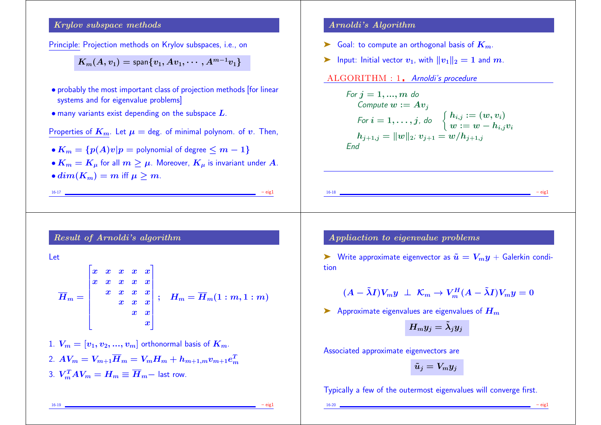### Krylov subspace methods

Principle: Projection methods on Krylov subspaces, i.e., on

$$
K_m(A,v_1)={\sf span}\{v_1,Av_1,\cdots,A^{m-1}v_1\}
$$

- probably the most important class of projection methods [for linear systems and for eigenvalue problems]
- $\bullet$  many variants exist depending on the subspace  $L$ .

Properties of 
$$
K_m
$$
. Let  $\mu = \text{deg.}$  of minimal polynomial of  $v$ . Then,

- $K_m = \{p(A)v|p =$  polynomial of degree  $\leq m-1\}$
- $K_m = K_u$  for all  $m > \mu$ . Moreover,  $K_u$  is invariant under A.
- $dim(K_m) = m$  iff  $\mu > m$ .

```
16-17 – eig1
```
### Result of Arnoldi's algorithm

#### Let

$$
\overline{H}_m = \begin{bmatrix} x & x & x & x & x \\ x & x & x & x & x \\ & x & x & x & x \\ & & x & x & x \\ & & & x & x \\ & & & & x \end{bmatrix}; \quad \overline{H}_m = \overline{H}_m(1:m,1:m)
$$

1.  $V_m = [v_1, v_2, ..., v_m]$  orthonormal basis of  $K_m$ . 2.  $AV_m = V_{m+1}\overline{H}_m = V_mH_m + h_{m+1,m}v_{m+1}e_m^T$  $\bm{m}$ 3.  $V_m^T A V_m = H_m \equiv \overline{H}_m$  - last row.

#### Arnoldi's Algorithm

- $\blacktriangleright$  Goal: to compute an orthogonal basis of  $K_m$ .
- ightharpoonup Input: Initial vector  $v_1$ , with  $||v_1||_2 = 1$  and  $m$ .

ALGORITHM : 1. Arnoldi's procedure

For 
$$
j = 1, ..., m
$$
 do  
\nCompute  $w := Av_j$   
\nFor  $i = 1, ..., j$ , do  $\begin{cases} h_{i,j} := (w, v_i) \\ w := w - h_{i,j}v_i \end{cases}$   
\n $h_{j+1,j} = ||w||_2$ ;  $v_{j+1} = w/h_{j+1,j}$   
\nEnd

Appliaction to eigenvalue problems

► Write approximate eigenvector as  $\tilde{u} = V_m y + \text{Galerkin condi-1}$ tion

16-18 – eig1

$$
(A - \tilde{\lambda}I)V_my \perp \mathcal{K}_m \rightarrow V_m^H(A - \tilde{\lambda}I)V_my = 0
$$

Approximate eigenvalues are eigenvalues of  $H_m$ 

$$
H_my_j=\tilde{\lambda}_jy_j
$$

Associated approximate eigenvectors are

$$
\tilde{u}_j = V_m y_j
$$

Typically a few of the outermost eigenvalues will converge first.

16-19 – eig1

16-20 – eig1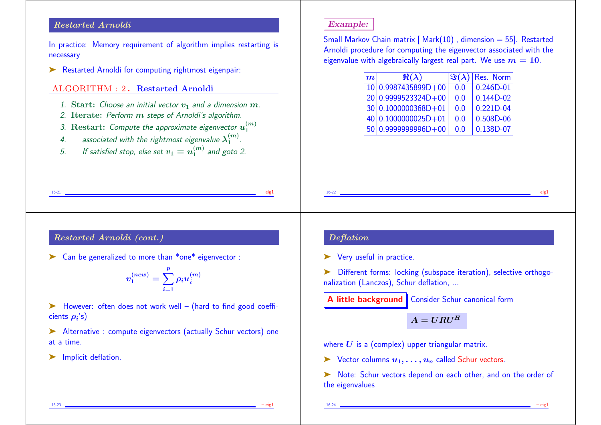### Restarted Arnoldi

In practice: Memory requirement of algorithm implies restarting is necessary

➤ Restarted Arnoldi for computing rightmost eigenpair:

# ALGORITHM : 2. Restarted Arnoldi

- 1. Start: Choose an initial vector  $v_1$  and a dimension  $m$ .
- 2. Iterate: Perform  $m$  steps of Arnoldi's algorithm.
- 3. Restart: Compute the approximate eigenvector  $u_1^{(m)}$ 1
- 4. associated with the rightmost eigenvalue  $\lambda^{(m)}_1$ .  $\frac{(m)}{1}$ .
- 5. If satisfied stop, else set  $v_1 \equiv u_1^{(m)}$  and goto 2.

# Example:

Small Markov Chain matrix  $[Mark(10)]$ , dimension = 55]. Restarted Arnoldi procedure for computing the eigenvector associated with the eigenvalue with algebraically largest real part. We use  $m = 10$ .

| $\overline{\boldsymbol{m}}$ | $\Re(\lambda)$        |     | $\left  \Im(\lambda) \right $ Res. Norm |
|-----------------------------|-----------------------|-----|-----------------------------------------|
|                             | $10 0.9987435899D+00$ | 0.0 | $0.246D-01$                             |
|                             | $20 0.9999523324D+00$ | 0.0 | $0.144D-02$                             |
|                             | $30 0.1000000368D+01$ | 0.0 | $0.221D - 04$                           |
|                             | 40 0.1000000025D+01   | 0.0 | 0.508D-06                               |
|                             | $50 0.9999999996D+00$ | 0.0 | 0.138D-07                               |

16-22 **– eigl** – eigl – eigl – eigl – eigl – eigl – eigl – eigl – eigl – eigl – eigl – eigl – eigl – eigl – eigl – eigl – eigl – eigl – eigl – eigl – eigl – eigl – eigl – eigl – eigl – eigl – eigl – eigl – eigl – eigl – ei

# Restarted Arnoldi (cont.)

➤ Can be generalized to more than \*one\* eigenvector :

$$
v_1^{(new)}=\sum_{i=1}^p \rho_i u_i^{(m)}
$$

16-21 – eig1

➤ However: often does not work well – (hard to find good coefficients  $\boldsymbol{\rho_i}$ 's)

➤ Alternative : compute eigenvectors (actually Schur vectors) one at a time.

➤ Implicit deflation.

### Deflation

➤ Very useful in practice.

➤ Different forms: locking (subspace iteration), selective orthogonalization (Lanczos), Schur deflation, ...

A little background | Consider Schur canonical form

 $A = U R U^H$ 

where  $U$  is a (complex) upper triangular matrix.

 $\triangleright$  Vector columns  $u_1, \ldots, u_n$  called Schur vectors.

➤ Note: Schur vectors depend on each other, and on the order of the eigenvalues

16-23 – eig1

16-24 – eig1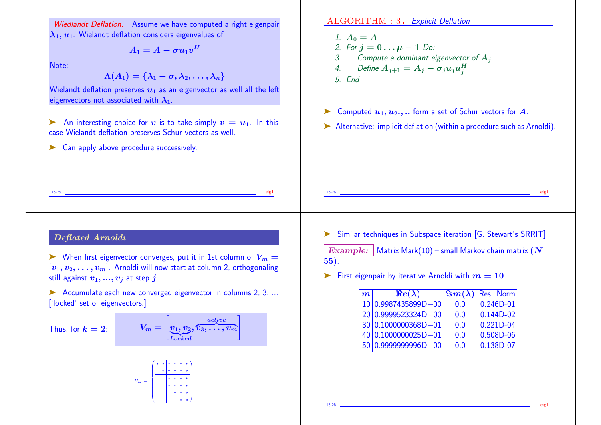Wiedlandt Deflation: Assume we have computed a right eigenpair  $\lambda_1, u_1$ . Wielandt deflation considers eigenvalues of

$$
A_1 = A - \sigma u_1 v^H
$$

Note:

 $\Lambda(A_1) = \{\lambda_1 - \sigma, \lambda_2, \ldots, \lambda_n\}$ 

Wielandt deflation preserves  $u_1$  as an eigenvector as well all the left eigenvectors not associated with  $\lambda_1$ .

An interesting choice for v is to take simply  $v = u_1$ . In this case Wielandt deflation preserves Schur vectors as well.

16-25 **– eigl** – eigl – eigl – eigl – eigl – eigl – eigl – eigl – eigl – eigl – eigl – eigl – eigl – eigl – eigl – eigl – eigl – eigl – eigl – eigl – eigl – eigl – eigl – eigl – eigl – eigl – eigl – eigl – eigl – eigl – ei

► Can apply above procedure successively.

ALGORITHM : 3. Explicit Deflation

- 1.  $A_0 = A$ 2. For  $j = 0 \dots \mu - 1$  Do:<br>3. Compute a dominant ex-Compute a dominant eigenvector of  $A_i$ 4. Define  $A_{j+1} = A_j - \sigma_j u_j u_j^H$
- 5. End
- $\triangleright$  Computed  $u_1, u_2, \dots$  form a set of Schur vectors for A.
- ➤ Alternative: implicit deflation (within a procedure such as Arnoldi).

# Deflated Arnoldi

 $\triangleright$  When first eigenvector converges, put it in 1st column of  $V_m =$  $[v_1, v_2, \ldots, v_m]$ . Arnoldi will now start at column 2, orthogonaling still against  $v_1, ..., v_i$  at step j.

➤ Accumulate each new converged eigenvector in columns 2, 3, ... ['locked' set of eigenvectors.]

Thus, for  $k = 2$ :

$$
V_m = \begin{bmatrix} \frac{active}{v_1, v_2, \hat{v}_3, \ldots, v_m} \end{bmatrix}
$$

V.

 $\begin{array}{c}\n\hline\n\end{array}$ 

H<sup>m</sup> = ∗ ∗ ∗ ∗ ∗ ∗ ∗ ∗ ∗ ∗ ∗ ∗ ∗ ∗ ∗ ∗ ∗ ∗ ∗ ∗ ∗ ∗ ∗ ∗

➤ Similar techniques in Subspace iteration [G. Stewart's SRRIT]

16-26 – eig1

Example: Matrix Mark(10) – small Markov chain matrix ( $N =$ 55).

First eigenpair by iterative Arnoldi with  $m = 10$ .

| $\bm{m}$ $\mid$ | $Re(\lambda)$          |     | $ \Im m(\lambda) $ Res. Norm |
|-----------------|------------------------|-----|------------------------------|
|                 | 10 0.9987435899D+00    | 0.0 | $0.246D - 01$                |
|                 | $20 0.9999523324D+00 $ | 0.0 | $0.144D-02$                  |
|                 | 30 0.1000000368D+01    | 0.0 | $0.221D - 04$                |
|                 | $40 0.1000000025D+01$  | 0.0 | 0.508D-06                    |
|                 | 50 0.9999999996D+00    | 0.0 | 0.138D-07                    |

16-28 – eig1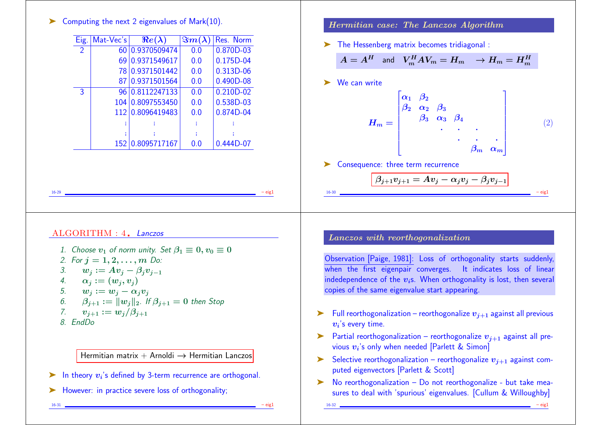# ➤ Computing the next 2 eigenvalues of Mark(10).

| Computing the next 2 eigenvalues of Mark(10).                                                                                                                        |                                   | Hermitian case: The Lanczos Algorithm                                                                                                                                                                                                               |
|----------------------------------------------------------------------------------------------------------------------------------------------------------------------|-----------------------------------|-----------------------------------------------------------------------------------------------------------------------------------------------------------------------------------------------------------------------------------------------------|
| Eig. Mat-Vec's<br>$Re(\lambda)$                                                                                                                                      | $\sqrt{\Im m(\lambda)}$ Res. Norm | The Hessenberg matrix becomes tridiagonal:                                                                                                                                                                                                          |
| 60 0.9370509474<br>$\overline{2}$                                                                                                                                    | 0.870D-03<br>0.0                  |                                                                                                                                                                                                                                                     |
| 69 0.9371549617                                                                                                                                                      | $0.175D-04$<br>0.0                | $A = A^H$ and $V_m^H A V_m = H_m$ $\rightarrow$ $H_m = H_m^H$                                                                                                                                                                                       |
| 78 0.9371501442                                                                                                                                                      | 0.313D-06<br>0.0                  |                                                                                                                                                                                                                                                     |
| 87 0.9371501564                                                                                                                                                      | 0.0<br>$0.490D-08$                | We can write<br>➤                                                                                                                                                                                                                                   |
| $\overline{3}$<br>96 0.8112247133                                                                                                                                    | $0.210D-02$<br>0.0                |                                                                                                                                                                                                                                                     |
| 104 0.8097553450                                                                                                                                                     | 0.538D-03<br>0.0                  |                                                                                                                                                                                                                                                     |
| 112 0.8096419483                                                                                                                                                     | 0.874D-04<br>0.0                  |                                                                                                                                                                                                                                                     |
| <b>COL</b>                                                                                                                                                           | Æ.                                |                                                                                                                                                                                                                                                     |
| -11<br>152 0.8095717167                                                                                                                                              | đ.<br>0.0<br>$0.444D-07$          |                                                                                                                                                                                                                                                     |
|                                                                                                                                                                      |                                   | rite $H_m = \begin{bmatrix} \alpha_1 & \beta_2 & & & & \ \beta_2 & \alpha_2 & \beta_3 & & & \ & & \beta_3 & \alpha_3 & \beta_4 & & \ & & & \ddots & \ddots & \ & & & & \beta_m & \alpha_m \end{bmatrix}$                                            |
|                                                                                                                                                                      |                                   | Consequence: three term recurrence<br>➤                                                                                                                                                                                                             |
|                                                                                                                                                                      |                                   |                                                                                                                                                                                                                                                     |
|                                                                                                                                                                      |                                   | $\beta_{j+1}v_{j+1}=Av_j-\alpha_jv_j-\beta_jv_{j-1}$                                                                                                                                                                                                |
|                                                                                                                                                                      |                                   | $16 - 30$                                                                                                                                                                                                                                           |
| ALGORITHM : 4. Lanczos<br>1. Choose $v_1$ of norm unity. Set $\beta_1 \equiv 0, v_0 \equiv 0$<br>2. For $j = 1, 2, , m$ Do:<br>$w_j := Av_j - \beta_j v_{j-1}$<br>3. |                                   | Lanczos with reorthogonalization<br>Observation [Paige, 1981]: Loss of orthogonality starts suddenly,<br>when the first eigenpair converges. It indicates loss of linear<br>indedependence of the $v_i$ s. When orthogonality is lost, then several |
| $\alpha_j:=(w_i,v_i)$<br>$w_i := w_i - \alpha_i v_i$<br>$\beta_{j+1} := \ w_j\ _2$ . If $\beta_{j+1} = 0$ then Stop<br>$v_{i+1} := w_i/\beta_{i+1}$                  |                                   | copies of the same eigenvalue start appearing.<br>Full reorthogonalization – reorthogonalize $v_{i+1}$ against all previous<br>➤<br>$v_i$ 's every time.                                                                                            |
| Hermitian matrix + Arnoldi $\rightarrow$ Hermitian Lanczos                                                                                                           |                                   | Partial reorthogonalization - reorthogonalize $v_{j+1}$ against all pre-<br>➤<br>vious $v_i$ 's only when needed [Parlett & Simon]<br>Selective reorthogonalization – reorthogonalize $v_{i+1}$ against com-<br>➤                                   |
| $\boldsymbol{4}$ .<br>$\overline{7}$ .<br>8. EndDo<br>In theory $v_i$ 's defined by 3-term recurrence are orthogonal.                                                |                                   | puted eigenvectors [Parlett & Scott]<br>No reorthogonalization - Do not reorthogonalize - but take mea-<br>➤                                                                                                                                        |

➤ However: in practice severe loss of orthogonality;

16-31 – eig1

16-32 – eig1

sures to deal with 'spurious' eigenvalues. [Cullum & Willoughby]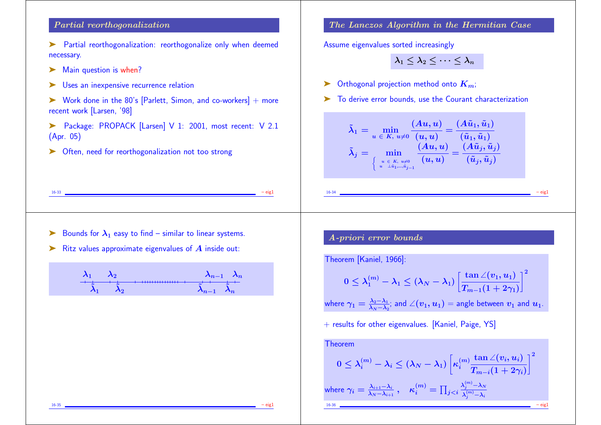# Partial reorthogonalization

- ➤ Partial reorthogonalization: reorthogonalize only when deemed necessary.
- ▶ Main question is when?
- ▶ Uses an inexpensive recurrence relation
- $\triangleright$  Work done in the 80's [Parlett, Simon, and co-workers] + more recent work [Larsen, '98]
- ➤ Package: PROPACK [Larsen] V 1: 2001, most recent: V 2.1 (Apr. 05)

16-33 – eig1

➤ Often, need for reorthogonalization not too strong

# The Lanczos Algorithm in the Hermitian Case

Assume eigenvalues sorted increasingly

$$
\lambda_1\leq \lambda_2\leq \cdots \leq \lambda_n
$$

- $\triangleright$  Orthogonal projection method onto  $K_{m}$ ;
- ➤ To derive error bounds, use the Courant characterization

$$
\tilde{\lambda}_1=\min_{u\;\in\;K,\;u\neq 0}\frac{(Au,u)}{(u,u)}=\frac{(A\tilde{u}_1,\tilde{u}_1)}{(\tilde{u}_1,\tilde{u}_1)}
$$
\n
$$
\tilde{\lambda}_j=\min_{\left\{\begin{array}{c}u\in K,\;u\neq 0\\u-\tilde{u}_1,\ldots,\tilde{u}_{j-1}\end{array}\right\}}\frac{(Au,u)}{(u,u)}=\frac{(A\tilde{u}_j,\tilde{u}_j)}{(\tilde{u}_j,\tilde{u}_j)}
$$

- $\triangleright$  Bounds for  $\lambda_1$  easy to find similar to linear systems.
- $\blacktriangleright$  Ritz values approximate eigenvalues of  $A$  inside out:

$$
\begin{matrix} \lambda_1 & \lambda_2 & \lambda_{n-1} & \lambda_n \\ \hline \dot{\tilde{\lambda}}_1 & \dot{\tilde{\lambda}}_2 & \dots & \dot{\tilde{\lambda}}_{n-1} & \dot{\tilde{\lambda}}_n \end{matrix}
$$

# A-priori error bounds

Theorem [Kaniel, 1966]:

$$
0\leq \lambda_1^{(m)}-\lambda_1\leq (\lambda_N-\lambda_1)\left[\frac{\tan\angle(v_1,u_1)}{T_{m-1}(1+2\gamma_1)}\right]^2
$$

16-34 – eig1

where  $\gamma_1=\frac{\lambda_2-\lambda_1}{\lambda_N-\lambda_2}$  $\frac{\lambda_2-\lambda_1}{\lambda_N-\lambda_2}$ ; and  $\angle(v_1,u_1)$  = angle between  $v_1$  and  $u_1$ .

+ results for other eigenvalues. [Kaniel, Paige, YS]

Theorem  
\n
$$
0 \leq \lambda_i^{(m)} - \lambda_i \leq (\lambda_N - \lambda_1) \left[ \kappa_i^{(m)} \frac{\tan \angle(v_i, u_i)}{T_{m-i}(1 + 2\gamma_i)} \right]^2
$$
\nwhere  $\gamma_i = \frac{\lambda_{i+1} - \lambda_i}{\lambda_N - \lambda_{i+1}}$ ,  $\kappa_i^{(m)} = \prod_{j < i} \frac{\lambda_j^{(m)} - \lambda_N}{\lambda_j^{(m)} - \lambda_i}$ 

16-35 – eig1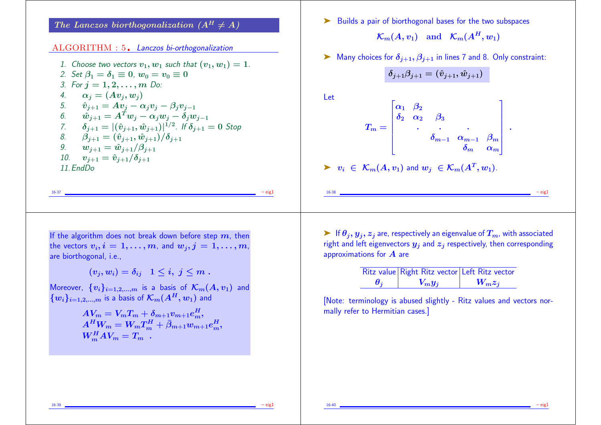The Lanczos biorthogonalization  $(A^H \neq A)$ 

#### ALGORITHM : 5. Lanczos bi-orthogonalization

1. Choose two vectors  $v_1, w_1$  such that  $(v_1, w_1) = 1$ . 2. Set  $\beta_1 = \delta_1 \equiv 0$ ,  $w_0 = v_0 \equiv 0$ 3. For  $j = 1, 2, ..., m$  Do: 4.  $\alpha_i = (Av_i, w_i)$ 5.  $\hat{v}_{j+1} = Av_j - \alpha_j v_j - \beta_j v_{j-1}$ 6.  $\hat{w}_{i+1} = A^T w_i - \alpha_i w_i - \delta_i w_{i-1}$ 7.  $\delta_{j+1} = |(\hat{v}_{j+1}, \hat{w}_{j+1})|^{1/2}$ . If  $\delta_{j+1} = 0$  Stop 8.  $\beta_{i+1} = (\hat{v}_{i+1}, \hat{w}_{i+1})/\delta_{i+1}$ 9.  $w_{i+1} = \hat{w}_{i+1}/\beta_{i+1}$ 10.  $v_{i+1} = \hat{v}_{i+1}/\delta_{i+1}$  $11.$  FndDo.

16-37 – eig1

► Builds a pair of biorthogonal bases for the two subspaces  $\mathcal{K}_m(A, v_1)$  and  $\mathcal{K}_m(A^H, w_1)$ 

 $\triangleright$  Many choices for  $\delta_{i+1}, \beta_{i+1}$  in lines 7 and 8. Only constraint:

$$
\delta_{j+1}\beta_{j+1}=(\hat{v}_{j+1},\hat{w}_{j+1})
$$

 $\mathbf{L}$ 

Let

$$
T_m=\begin{bmatrix} \alpha_1 & \beta_2 & & & \\ \delta_2 & \alpha_2 & \beta_3 & & \\ & \ddots & \ddots & \ddots & \\ & & \delta_{m-1} & \alpha_{m-1} & \beta_m \\ & & & \delta_m & \alpha_m \end{bmatrix}\;.
$$

 $\blacktriangleright \ \ v_i \ \in \ \mathcal{K}_m(A,v_1)$  and  $w_j \ \in \mathcal{K}_m(A^T,w_1)$ .

If the algorithm does not break down before step  $m$ , then the vectors  $v_i, i = 1, \ldots, m$ , and  $w_i, j = 1, \ldots, m$ , are biorthogonal, i.e.,

 $(v_i, w_i) = \delta_{ij} \quad 1 \leq i, \; j \leq m$ .

Moreover,  ${v_i}_{i=1,2,...,m}$  is a basis of  $\mathcal{K}_m(A, v_1)$  and  ${w_i}_{i=1,2,...,m}$  is a basis of  $\mathcal{K}_m(A^H, w_1)$  and

$$
AV_m = V_m T_m + \delta_{m+1} v_{m+1} e_m^H, A^H W_m = W_m T_m^H + \bar{\beta}_{m+1} w_{m+1} e_m^H, W_m^H A V_m = T_m.
$$

 $\triangleright$  If  $\theta_i, y_i, z_i$  are, respectively an eigenvalue of  $T_m$ , with associated right and left eigenvectors  $y_i$  and  $z_i$  respectively, then corresponding approximations for  $\boldsymbol{A}$  are

16-38 – eig1

|                         | Ritz value Right Ritz vector Left Ritz vector |           |
|-------------------------|-----------------------------------------------|-----------|
| $\boldsymbol{\theta_i}$ | $V_m y_i$                                     | $W_m z_i$ |

[Note: terminology is abused slightly - Ritz values and vectors normally refer to Hermitian cases.]

16-39 – eig1

16-40 – eig1